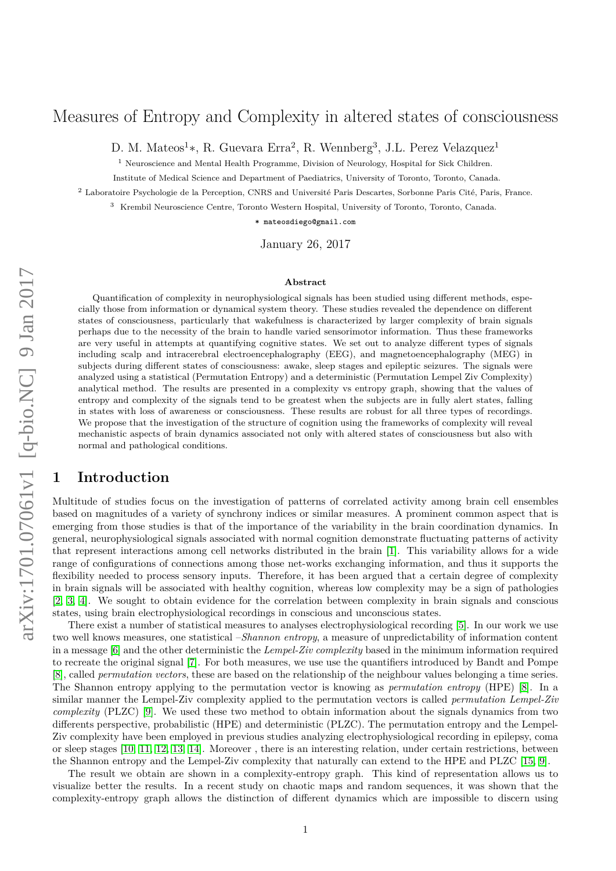# Measures of Entropy and Complexity in altered states of consciousness

D. M. Mateos<sup>1</sup>\*, R. Guevara Erra<sup>2</sup>, R. Wennberg<sup>3</sup>, J.L. Perez Velazquez<sup>1</sup>

<sup>1</sup> Neuroscience and Mental Health Programme, Division of Neurology, Hospital for Sick Children.

Institute of Medical Science and Department of Paediatrics, University of Toronto, Toronto, Canada.

<sup>2</sup> Laboratoire Psychologie de la Perception, CNRS and Université Paris Descartes, Sorbonne Paris Cité, Paris, France.

<sup>3</sup> Krembil Neuroscience Centre, Toronto Western Hospital, University of Toronto, Toronto, Canada.

\* mateosdiego@gmail.com

January 26, 2017

#### **Abstract**

Quantification of complexity in neurophysiological signals has been studied using different methods, especially those from information or dynamical system theory. These studies revealed the dependence on different states of consciousness, particularly that wakefulness is characterized by larger complexity of brain signals perhaps due to the necessity of the brain to handle varied sensorimotor information. Thus these frameworks are very useful in attempts at quantifying cognitive states. We set out to analyze different types of signals including scalp and intracerebral electroencephalography (EEG), and magnetoencephalography (MEG) in subjects during different states of consciousness: awake, sleep stages and epileptic seizures. The signals were analyzed using a statistical (Permutation Entropy) and a deterministic (Permutation Lempel Ziv Complexity) analytical method. The results are presented in a complexity vs entropy graph, showing that the values of entropy and complexity of the signals tend to be greatest when the subjects are in fully alert states, falling in states with loss of awareness or consciousness. These results are robust for all three types of recordings. We propose that the investigation of the structure of cognition using the frameworks of complexity will reveal mechanistic aspects of brain dynamics associated not only with altered states of consciousness but also with normal and pathological conditions.

## **1 Introduction**

Multitude of studies focus on the investigation of patterns of correlated activity among brain cell ensembles based on magnitudes of a variety of synchrony indices or similar measures. A prominent common aspect that is emerging from those studies is that of the importance of the variability in the brain coordination dynamics. In general, neurophysiological signals associated with normal cognition demonstrate fluctuating patterns of activity that represent interactions among cell networks distributed in the brain [\[1\]](#page-5-0). This variability allows for a wide range of configurations of connections among those net-works exchanging information, and thus it supports the flexibility needed to process sensory inputs. Therefore, it has been argued that a certain degree of complexity in brain signals will be associated with healthy cognition, whereas low complexity may be a sign of pathologies [\[2,](#page-5-1) [3,](#page-5-2) [4\]](#page-5-3). We sought to obtain evidence for the correlation between complexity in brain signals and conscious states, using brain electrophysiological recordings in conscious and unconscious states.

There exist a number of statistical measures to analyses electrophysiological recording [\[5\]](#page-5-4). In our work we use two well knows measures, one statistical –*Shannon entropy*, a measure of unpredictability of information content in a message [\[6\]](#page-5-5) and the other deterministic the *Lempel-Ziv complexity* based in the minimum information required to recreate the original signal [\[7\]](#page-5-6). For both measures, we use use the quantifiers introduced by Bandt and Pompe [\[8\]](#page-5-7), called *permutation vectors*, these are based on the relationship of the neighbour values belonging a time series. The Shannon entropy applying to the permutation vector is knowing as *permutation entropy* (HPE) [\[8\]](#page-5-7). In a similar manner the Lempel-Ziv complexity applied to the permutation vectors is called *permutation Lempel-Ziv complexity* (PLZC) [\[9\]](#page-5-8). We used these two method to obtain information about the signals dynamics from two differents perspective, probabilistic (HPE) and deterministic (PLZC). The permutation entropy and the Lempel-Ziv complexity have been employed in previous studies analyzing electrophysiological recording in epilepsy, coma or sleep stages [\[10,](#page-5-9) [11,](#page-5-10) [12,](#page-5-11) [13,](#page-5-12) [14\]](#page-5-13). Moreover , there is an interesting relation, under certain restrictions, between the Shannon entropy and the Lempel-Ziv complexity that naturally can extend to the HPE and PLZC [\[15,](#page-5-14) [9\]](#page-5-8).

The result we obtain are shown in a complexity-entropy graph. This kind of representation allows us to visualize better the results. In a recent study on chaotic maps and random sequences, it was shown that the complexity-entropy graph allows the distinction of different dynamics which are impossible to discern using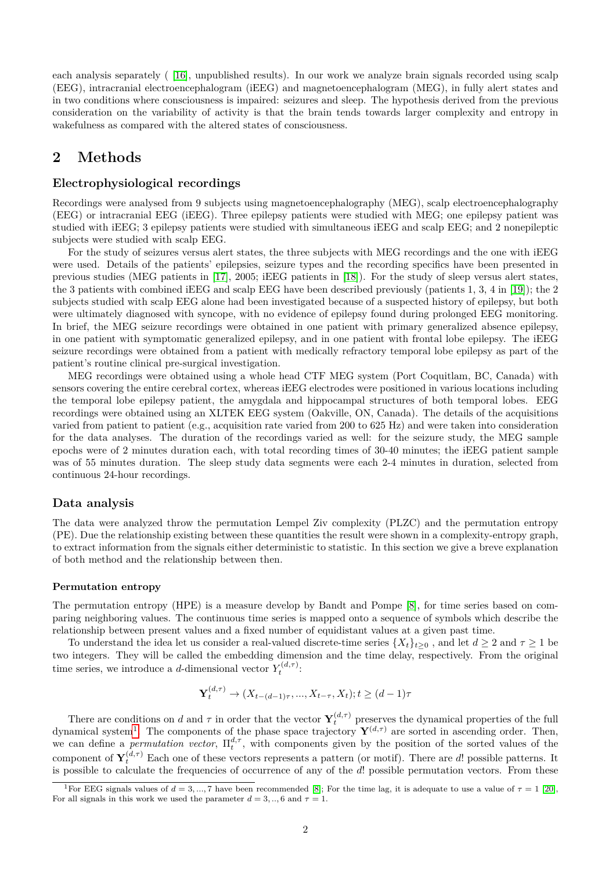each analysis separately ( [\[16\]](#page-5-15), unpublished results). In our work we analyze brain signals recorded using scalp (EEG), intracranial electroencephalogram (iEEG) and magnetoencephalogram (MEG), in fully alert states and in two conditions where consciousness is impaired: seizures and sleep. The hypothesis derived from the previous consideration on the variability of activity is that the brain tends towards larger complexity and entropy in wakefulness as compared with the altered states of consciousness.

# **2 Methods**

### **Electrophysiological recordings**

Recordings were analysed from 9 subjects using magnetoencephalography (MEG), scalp electroencephalography (EEG) or intracranial EEG (iEEG). Three epilepsy patients were studied with MEG; one epilepsy patient was studied with iEEG; 3 epilepsy patients were studied with simultaneous iEEG and scalp EEG; and 2 nonepileptic subjects were studied with scalp EEG.

For the study of seizures versus alert states, the three subjects with MEG recordings and the one with iEEG were used. Details of the patients' epilepsies, seizure types and the recording specifics have been presented in previous studies (MEG patients in [\[17\]](#page-5-16), 2005; iEEG patients in [\[18\]](#page-5-17)). For the study of sleep versus alert states, the 3 patients with combined iEEG and scalp EEG have been described previously (patients 1, 3, 4 in [\[19\]](#page-6-0)); the 2 subjects studied with scalp EEG alone had been investigated because of a suspected history of epilepsy, but both were ultimately diagnosed with syncope, with no evidence of epilepsy found during prolonged EEG monitoring. In brief, the MEG seizure recordings were obtained in one patient with primary generalized absence epilepsy, in one patient with symptomatic generalized epilepsy, and in one patient with frontal lobe epilepsy. The iEEG seizure recordings were obtained from a patient with medically refractory temporal lobe epilepsy as part of the patient's routine clinical pre-surgical investigation.

MEG recordings were obtained using a whole head CTF MEG system (Port Coquitlam, BC, Canada) with sensors covering the entire cerebral cortex, whereas iEEG electrodes were positioned in various locations including the temporal lobe epilepsy patient, the amygdala and hippocampal structures of both temporal lobes. EEG recordings were obtained using an XLTEK EEG system (Oakville, ON, Canada). The details of the acquisitions varied from patient to patient (e.g., acquisition rate varied from 200 to 625 Hz) and were taken into consideration for the data analyses. The duration of the recordings varied as well: for the seizure study, the MEG sample epochs were of 2 minutes duration each, with total recording times of 30-40 minutes; the iEEG patient sample was of 55 minutes duration. The sleep study data segments were each 2-4 minutes in duration, selected from continuous 24-hour recordings.

#### **Data analysis**

The data were analyzed throw the permutation Lempel Ziv complexity (PLZC) and the permutation entropy (PE). Due the relationship existing between these quantities the result were shown in a complexity-entropy graph, to extract information from the signals either deterministic to statistic. In this section we give a breve explanation of both method and the relationship between then.

#### **Permutation entropy**

The permutation entropy (HPE) is a measure develop by Bandt and Pompe [\[8\]](#page-5-7), for time series based on comparing neighboring values. The continuous time series is mapped onto a sequence of symbols which describe the relationship between present values and a fixed number of equidistant values at a given past time.

To understand the idea let us consider a real-valued discrete-time series  $\{X_t\}_{t>0}$ , and let  $d \geq 2$  and  $\tau \geq 1$  be two integers. They will be called the embedding dimension and the time delay, respectively. From the original time series, we introduce a *d*-dimensional vector  $Y_t^{(d,\tau)}$ :

$$
\mathbf{Y}_{t}^{(d,\tau)} \to (X_{t-(d-1)\tau}, ..., X_{t-\tau}, X_{t}); t \ge (d-1)\tau
$$

There are conditions on *d* and  $\tau$  in order that the vector  $\mathbf{Y}_t^{(d,\tau)}$  preserves the dynamical properties of the full dynamical system<sup>[1](#page-1-0)</sup>. The components of the phase space trajectory  $Y^{(d,\tau)}$  are sorted in ascending order. Then, we can define a *permutation vector*,  $\Pi_t^{d,\tau}$ , with components given by the position of the sorted values of the component of  $Y_t^{(d,\tau)}$  Each one of these vectors represents a pattern (or motif). There are *d*! possible patterns. It is possible to calculate the frequencies of occurrence of any of the *d*! possible permutation vectors. From these

<span id="page-1-0"></span><sup>&</sup>lt;sup>1</sup>For EEG signals values of  $d = 3, ..., 7$  have been recommended [\[8\]](#page-5-7); For the time lag, it is adequate to use a value of  $\tau = 1$  [\[20\]](#page-6-1), For all signals in this work we used the parameter  $d = 3, \ldots, 6$  and  $\tau = 1$ .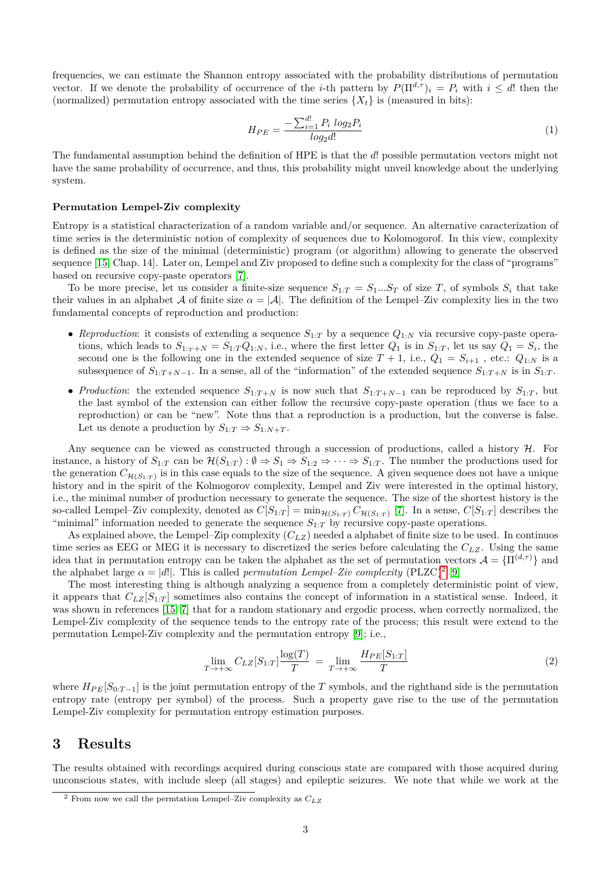frequencies, we can estimate the Shannon entropy associated with the probability distributions of permutation vector. If we denote the probability of occurrence of the *i*-th pattern by  $P(\Pi^{d,\tau})_i = P_i$  with  $i \leq d!$  then the (normalized) permutation entropy associated with the time series  $\{X_t\}$  is (measured in bits):

$$
H_{PE} = \frac{-\sum_{i=1}^{d!} P_i \log_2 P_i}{\log_2 d!} \tag{1}
$$

The fundamental assumption behind the definition of HPE is that the *d*! possible permutation vectors might not have the same probability of occurrence, and thus, this probability might unveil knowledge about the underlying system.

#### **Permutation Lempel-Ziv complexity**

Entropy is a statistical characterization of a random variable and/or sequence. An alternative caracterization of time series is the deterministic notion of complexity of sequences due to Kolomogorof. In this view, complexity is defined as the size of the minimal (deterministic) program (or algorithm) allowing to generate the observed sequence [\[15,](#page-5-14) Chap. 14]. Later on, Lempel and Ziv proposed to define such a complexity for the class of "programs" based on recursive copy-paste operators [\[7\]](#page-5-6).

To be more precise, let us consider a finite-size sequence  $S_{1:T} = S_1...S_T$  of size *T*, of symbols  $S_i$  that take their values in an alphabet A of finite size  $\alpha = |\mathcal{A}|$ . The definition of the Lempel–Ziv complexity lies in the two fundamental concepts of reproduction and production:

- *Reproduction*: it consists of extending a sequence  $S_{1:T}$  by a sequence  $Q_{1:N}$  via recursive copy-paste operations, which leads to  $S_{1:T+N} = S_{1:T}Q_{1:N}$ , i.e., where the first letter  $Q_1$  is in  $S_{1:T}$ , let us say  $Q_1 = S_i$ , the second one is the following one in the extended sequence of size  $T + 1$ , i.e.,  $Q_1 = S_{i+1}$ , etc.:  $Q_{1:N}$  is a subsequence of  $S_{1:T+N-1}$ . In a sense, all of the "information" of the extended sequence  $S_{1:T+N}$  is in  $S_{1:T}$ .
- *Production*: the extended sequence  $S_{1:T+N}$  is now such that  $S_{1:T+N-1}$  can be reproduced by  $S_{1:T}$ , but the last symbol of the extension can either follow the recursive copy-paste operation (thus we face to a reproduction) or can be "new". Note thus that a reproduction is a production, but the converse is false. Let us denote a production by  $S_{1:T} \Rightarrow S_{1:N+T}$ .

Any sequence can be viewed as constructed through a succession of productions, called a history  $H$ . For instance, a history of  $S_{1:T}$  can be  $\mathcal{H}(S_{1:T}) : \emptyset \Rightarrow S_1 \Rightarrow S_{1:2} \Rightarrow \cdots \Rightarrow S_{1:T}$ . The number the productions used for the generation  $C_{\mathcal{H}(S_{1:T})}$  is in this case equals to the size of the sequence. A given sequence does not have a unique history and in the spirit of the Kolmogorov complexity, Lempel and Ziv were interested in the optimal history, i.e., the minimal number of production necessary to generate the sequence. The size of the shortest history is the so-called Lempel–Ziv complexity, denoted as  $C[S_{1:T}] = \min_{\mathcal{H}(S_{1:T})} C_{\mathcal{H}(S_{1:T})}$  [\[7\]](#page-5-6). In a sense,  $C[S_{1:T}]$  describes the "minimal" information needed to generate the sequence  $S_{1:T}$  by recursive copy-paste operations.

As explained above, the Lempel–Zip complexity (*CLZ*) needed a alphabet of finite size to be used. In continuos time series as EEG or MEG it is necessary to discretized the series before calculating the *CLZ*. Using the same idea that in permutation entropy can be taken the alphabet as the set of permutation vectors  $\mathcal{A} = \{\Pi^{(d,\tau)}\}\$ and the alphabet large  $\alpha = |d|$ . This is called *permutation Lempel–Ziv complexity* (PLZC)<sup>[2](#page-2-0)</sup> [\[9\]](#page-5-8)

The most interesting thing is although analyzing a sequence from a completely deterministic point of view, it appears that  $C_{LZ}[S_{1:T}]$  sometimes also contains the concept of information in a statistical sense. Indeed, it was shown in references [\[15,](#page-5-14) [7\]](#page-5-6) that for a random stationary and ergodic process, when correctly normalized, the Lempel-Ziv complexity of the sequence tends to the entropy rate of the process; this result were extend to the permutation Lempel-Ziv complexity and the permutation entropy [\[9\]](#page-5-8); i.e.,

$$
\lim_{T \to +\infty} C_{LZ}[S_{1:T}] \frac{\log(T)}{T} = \lim_{T \to +\infty} \frac{H_{PE}[S_{1:T}]}{T}
$$
\n(2)

where  $H_{PE}[S_{0:T-1}]$  is the joint permutation entropy of the *T* symbols, and the righthand side is the permutation entropy rate (entropy per symbol) of the process. Such a property gave rise to the use of the permutation Lempel-Ziv complexity for permutation entropy estimation purposes.

## **3 Results**

The results obtained with recordings acquired during conscious state are compared with those acquired during unconscious states, with include sleep (all stages) and epileptic seizures. We note that while we work at the

<span id="page-2-0"></span><sup>2</sup> From now we call the permtation Lempel–Ziv complexity as *CLZ*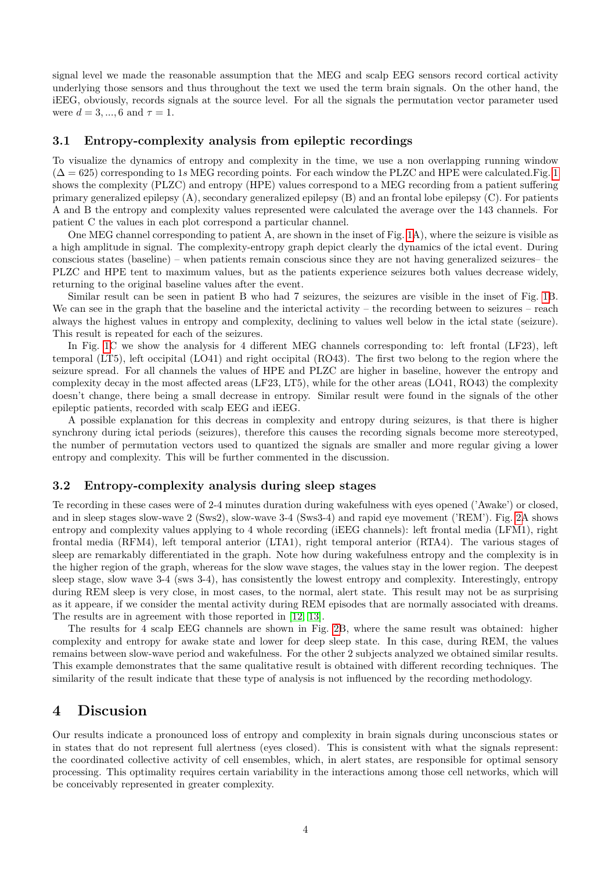signal level we made the reasonable assumption that the MEG and scalp EEG sensors record cortical activity underlying those sensors and thus throughout the text we used the term brain signals. On the other hand, the iEEG, obviously, records signals at the source level. For all the signals the permutation vector parameter used were  $d = 3, ..., 6$  and  $\tau = 1$ .

### **3.1 Entropy-complexity analysis from epileptic recordings**

To visualize the dynamics of entropy and complexity in the time, we use a non overlapping running window  $(\Delta = 625)$  corresponding to [1](#page-7-0)*s* MEG recording points. For each window the PLZC and HPE were calculated. Fig. 1 shows the complexity (PLZC) and entropy (HPE) values correspond to a MEG recording from a patient suffering primary generalized epilepsy (A), secondary generalized epilepsy (B) and an frontal lobe epilepsy (C). For patients A and B the entropy and complexity values represented were calculated the average over the 143 channels. For patient C the values in each plot correspond a particular channel.

One MEG channel corresponding to patient A, are shown in the inset of Fig. [1A](#page-7-0)), where the seizure is visible as a high amplitude in signal. The complexity-entropy graph depict clearly the dynamics of the ictal event. During conscious states (baseline) – when patients remain conscious since they are not having generalized seizures– the PLZC and HPE tent to maximum values, but as the patients experience seizures both values decrease widely, returning to the original baseline values after the event.

Similar result can be seen in patient B who had 7 seizures, the seizures are visible in the inset of Fig. [1B](#page-7-0). We can see in the graph that the baseline and the interictal activity – the recording between to seizures – reach always the highest values in entropy and complexity, declining to values well below in the ictal state (seizure). This result is repeated for each of the seizures.

In Fig. [1C](#page-7-0) we show the analysis for 4 different MEG channels corresponding to: left frontal (LF23), left temporal (LT5), left occipital (LO41) and right occipital (RO43). The first two belong to the region where the seizure spread. For all channels the values of HPE and PLZC are higher in baseline, however the entropy and complexity decay in the most affected areas (LF23, LT5), while for the other areas (LO41, RO43) the complexity doesn't change, there being a small decrease in entropy. Similar result were found in the signals of the other epileptic patients, recorded with scalp EEG and iEEG.

A possible explanation for this decreas in complexity and entropy during seizures, is that there is higher synchrony during ictal periods (seizures), therefore this causes the recording signals become more stereotyped, the number of permutation vectors used to quantized the signals are smaller and more regular giving a lower entropy and complexity. This will be further commented in the discussion.

### **3.2 Entropy-complexity analysis during sleep stages**

Te recording in these cases were of 2-4 minutes duration during wakefulness with eyes opened ('Awake') or closed, and in sleep stages slow-wave 2 (Sws2), slow-wave 3-4 (Sws3-4) and rapid eye movement ('REM'). Fig. [2A](#page-8-0) shows entropy and complexity values applying to 4 whole recording (iEEG channels): left frontal media (LFM1), right frontal media (RFM4), left temporal anterior (LTA1), right temporal anterior (RTA4). The various stages of sleep are remarkably differentiated in the graph. Note how during wakefulness entropy and the complexity is in the higher region of the graph, whereas for the slow wave stages, the values stay in the lower region. The deepest sleep stage, slow wave 3-4 (sws 3-4), has consistently the lowest entropy and complexity. Interestingly, entropy during REM sleep is very close, in most cases, to the normal, alert state. This result may not be as surprising as it appeare, if we consider the mental activity during REM episodes that are normally associated with dreams. The results are in agreement with those reported in [\[12,](#page-5-11) [13\]](#page-5-12).

The results for 4 scalp EEG channels are shown in Fig. [2B](#page-8-0), where the same result was obtained: higher complexity and entropy for awake state and lower for deep sleep state. In this case, during REM, the values remains between slow-wave period and wakefulness. For the other 2 subjects analyzed we obtained similar results. This example demonstrates that the same qualitative result is obtained with different recording techniques. The similarity of the result indicate that these type of analysis is not influenced by the recording methodology.

## **4 Discusion**

Our results indicate a pronounced loss of entropy and complexity in brain signals during unconscious states or in states that do not represent full alertness (eyes closed). This is consistent with what the signals represent: the coordinated collective activity of cell ensembles, which, in alert states, are responsible for optimal sensory processing. This optimality requires certain variability in the interactions among those cell networks, which will be conceivably represented in greater complexity.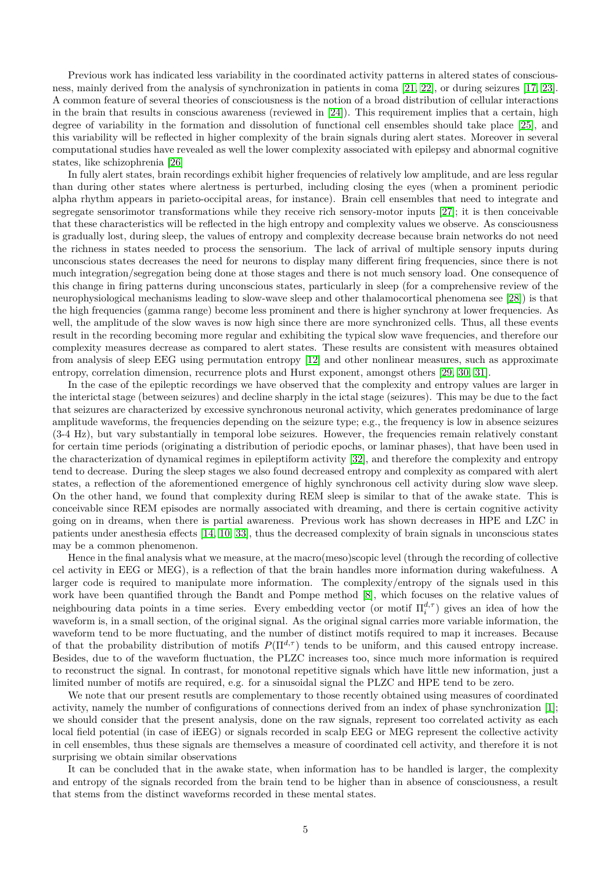Previous work has indicated less variability in the coordinated activity patterns in altered states of consciousness, mainly derived from the analysis of synchronization in patients in coma [\[21,](#page-6-2) [22\]](#page-6-3), or during seizures [\[17,](#page-5-16) [23\]](#page-6-4). A common feature of several theories of consciousness is the notion of a broad distribution of cellular interactions in the brain that results in conscious awareness (reviewed in [\[24\]](#page-6-5)). This requirement implies that a certain, high degree of variability in the formation and dissolution of functional cell ensembles should take place [\[25\]](#page-6-6), and this variability will be reflected in higher complexity of the brain signals during alert states. Moreover in several computational studies have revealed as well the lower complexity associated with epilepsy and abnormal cognitive states, like schizophrenia [\[26\]](#page-6-7)

In fully alert states, brain recordings exhibit higher frequencies of relatively low amplitude, and are less regular than during other states where alertness is perturbed, including closing the eyes (when a prominent periodic alpha rhythm appears in parieto-occipital areas, for instance). Brain cell ensembles that need to integrate and segregate sensorimotor transformations while they receive rich sensory-motor inputs [\[27\]](#page-6-8); it is then conceivable that these characteristics will be reflected in the high entropy and complexity values we observe. As consciousness is gradually lost, during sleep, the values of entropy and complexity decrease because brain networks do not need the richness in states needed to process the sensorium. The lack of arrival of multiple sensory inputs during unconscious states decreases the need for neurons to display many different firing frequencies, since there is not much integration/segregation being done at those stages and there is not much sensory load. One consequence of this change in firing patterns during unconscious states, particularly in sleep (for a comprehensive review of the neurophysiological mechanisms leading to slow-wave sleep and other thalamocortical phenomena see [\[28\]](#page-6-9)) is that the high frequencies (gamma range) become less prominent and there is higher synchrony at lower frequencies. As well, the amplitude of the slow waves is now high since there are more synchronized cells. Thus, all these events result in the recording becoming more regular and exhibiting the typical slow wave frequencies, and therefore our complexity measures decrease as compared to alert states. These results are consistent with measures obtained from analysis of sleep EEG using permutation entropy [\[12\]](#page-5-11) and other nonlinear measures, such as approximate entropy, correlation dimension, recurrence plots and Hurst exponent, amongst others [\[29,](#page-6-10) [30,](#page-6-11) [31\]](#page-6-12).

In the case of the epileptic recordings we have observed that the complexity and entropy values are larger in the interictal stage (between seizures) and decline sharply in the ictal stage (seizures). This may be due to the fact that seizures are characterized by excessive synchronous neuronal activity, which generates predominance of large amplitude waveforms, the frequencies depending on the seizure type; e.g., the frequency is low in absence seizures (3-4 Hz), but vary substantially in temporal lobe seizures. However, the frequencies remain relatively constant for certain time periods (originating a distribution of periodic epochs, or laminar phases), that have been used in the characterization of dynamical regimes in epileptiform activity [\[32\]](#page-6-13), and therefore the complexity and entropy tend to decrease. During the sleep stages we also found decreased entropy and complexity as compared with alert states, a reflection of the aforementioned emergence of highly synchronous cell activity during slow wave sleep. On the other hand, we found that complexity during REM sleep is similar to that of the awake state. This is conceivable since REM episodes are normally associated with dreaming, and there is certain cognitive activity going on in dreams, when there is partial awareness. Previous work has shown decreases in HPE and LZC in patients under anesthesia effects [\[14,](#page-5-13) [10,](#page-5-9) [33\]](#page-6-14), thus the decreased complexity of brain signals in unconscious states may be a common phenomenon.

Hence in the final analysis what we measure, at the macro(meso)scopic level (through the recording of collective cel activity in EEG or MEG), is a reflection of that the brain handles more information during wakefulness. A larger code is required to manipulate more information. The complexity/entropy of the signals used in this work have been quantified through the Bandt and Pompe method [\[8\]](#page-5-7), which focuses on the relative values of neighbouring data points in a time series. Every embedding vector (or motif  $\Pi_i^{d,\tau}$ ) gives an idea of how the waveform is, in a small section, of the original signal. As the original signal carries more variable information, the waveform tend to be more fluctuating, and the number of distinct motifs required to map it increases. Because of that the probability distribution of motifs  $P(\Pi^{d,\tau})$  tends to be uniform, and this caused entropy increase. Besides, due to of the waveform fluctuation, the PLZC increases too, since much more information is required to reconstruct the signal. In contrast, for monotonal repetitive signals which have little new information, just a limited number of motifs are required, e.g. for a sinusoidal signal the PLZC and HPE tend to be zero.

We note that our present resutls are complementary to those recently obtained using measures of coordinated activity, namely the number of configurations of connections derived from an index of phase synchronization [\[1\]](#page-5-0); we should consider that the present analysis, done on the raw signals, represent too correlated activity as each local field potential (in case of iEEG) or signals recorded in scalp EEG or MEG represent the collective activity in cell ensembles, thus these signals are themselves a measure of coordinated cell activity, and therefore it is not surprising we obtain similar observations

It can be concluded that in the awake state, when information has to be handled is larger, the complexity and entropy of the signals recorded from the brain tend to be higher than in absence of consciousness, a result that stems from the distinct waveforms recorded in these mental states.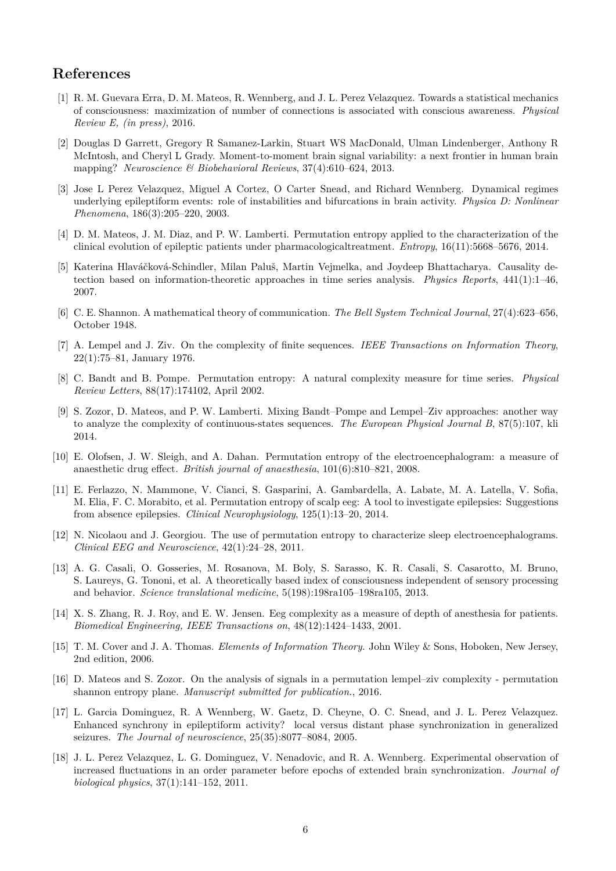# **References**

- <span id="page-5-0"></span>[1] R. M. Guevara Erra, D. M. Mateos, R. Wennberg, and J. L. Perez Velazquez. Towards a statistical mechanics of consciousness: maximization of number of connections is associated with conscious awareness. *Physical Review E, (in press)*, 2016.
- <span id="page-5-1"></span>[2] Douglas D Garrett, Gregory R Samanez-Larkin, Stuart WS MacDonald, Ulman Lindenberger, Anthony R McIntosh, and Cheryl L Grady. Moment-to-moment brain signal variability: a next frontier in human brain mapping? *Neuroscience & Biobehavioral Reviews*, 37(4):610–624, 2013.
- <span id="page-5-2"></span>[3] Jose L Perez Velazquez, Miguel A Cortez, O Carter Snead, and Richard Wennberg. Dynamical regimes underlying epileptiform events: role of instabilities and bifurcations in brain activity. *Physica D: Nonlinear Phenomena*, 186(3):205–220, 2003.
- <span id="page-5-3"></span>[4] D. M. Mateos, J. M. Diaz, and P. W. Lamberti. Permutation entropy applied to the characterization of the clinical evolution of epileptic patients under pharmacologicaltreatment. *Entropy*, 16(11):5668–5676, 2014.
- <span id="page-5-4"></span>[5] Katerina Hlaváčková-Schindler, Milan Paluš, Martin Vejmelka, and Joydeep Bhattacharya. Causality detection based on information-theoretic approaches in time series analysis. *Physics Reports*, 441(1):1–46, 2007.
- <span id="page-5-5"></span>[6] C. E. Shannon. A mathematical theory of communication. *The Bell System Technical Journal*, 27(4):623–656, October 1948.
- <span id="page-5-6"></span>[7] A. Lempel and J. Ziv. On the complexity of finite sequences. *IEEE Transactions on Information Theory*, 22(1):75–81, January 1976.
- <span id="page-5-7"></span>[8] C. Bandt and B. Pompe. Permutation entropy: A natural complexity measure for time series. *Physical Review Letters*, 88(17):174102, April 2002.
- <span id="page-5-8"></span>[9] S. Zozor, D. Mateos, and P. W. Lamberti. Mixing Bandt–Pompe and Lempel–Ziv approaches: another way to analyze the complexity of continuous-states sequences. *The European Physical Journal B*, 87(5):107, kli 2014.
- <span id="page-5-9"></span>[10] E. Olofsen, J. W. Sleigh, and A. Dahan. Permutation entropy of the electroencephalogram: a measure of anaesthetic drug effect. *British journal of anaesthesia*, 101(6):810–821, 2008.
- <span id="page-5-10"></span>[11] E. Ferlazzo, N. Mammone, V. Cianci, S. Gasparini, A. Gambardella, A. Labate, M. A. Latella, V. Sofia, M. Elia, F. C. Morabito, et al. Permutation entropy of scalp eeg: A tool to investigate epilepsies: Suggestions from absence epilepsies. *Clinical Neurophysiology*, 125(1):13–20, 2014.
- <span id="page-5-11"></span>[12] N. Nicolaou and J. Georgiou. The use of permutation entropy to characterize sleep electroencephalograms. *Clinical EEG and Neuroscience*, 42(1):24–28, 2011.
- <span id="page-5-12"></span>[13] A. G. Casali, O. Gosseries, M. Rosanova, M. Boly, S. Sarasso, K. R. Casali, S. Casarotto, M. Bruno, S. Laureys, G. Tononi, et al. A theoretically based index of consciousness independent of sensory processing and behavior. *Science translational medicine*, 5(198):198ra105–198ra105, 2013.
- <span id="page-5-13"></span>[14] X. S. Zhang, R. J. Roy, and E. W. Jensen. Eeg complexity as a measure of depth of anesthesia for patients. *Biomedical Engineering, IEEE Transactions on*, 48(12):1424–1433, 2001.
- <span id="page-5-14"></span>[15] T. M. Cover and J. A. Thomas. *Elements of Information Theory*. John Wiley & Sons, Hoboken, New Jersey, 2nd edition, 2006.
- <span id="page-5-15"></span>[16] D. Mateos and S. Zozor. On the analysis of signals in a permutation lempel–ziv complexity - permutation shannon entropy plane. *Manuscript submitted for publication.*, 2016.
- <span id="page-5-16"></span>[17] L. Garcia Dominguez, R. A Wennberg, W. Gaetz, D. Cheyne, O. C. Snead, and J. L. Perez Velazquez. Enhanced synchrony in epileptiform activity? local versus distant phase synchronization in generalized seizures. *The Journal of neuroscience*, 25(35):8077–8084, 2005.
- <span id="page-5-17"></span>[18] J. L. Perez Velazquez, L. G. Dominguez, V. Nenadovic, and R. A. Wennberg. Experimental observation of increased fluctuations in an order parameter before epochs of extended brain synchronization. *Journal of biological physics*, 37(1):141–152, 2011.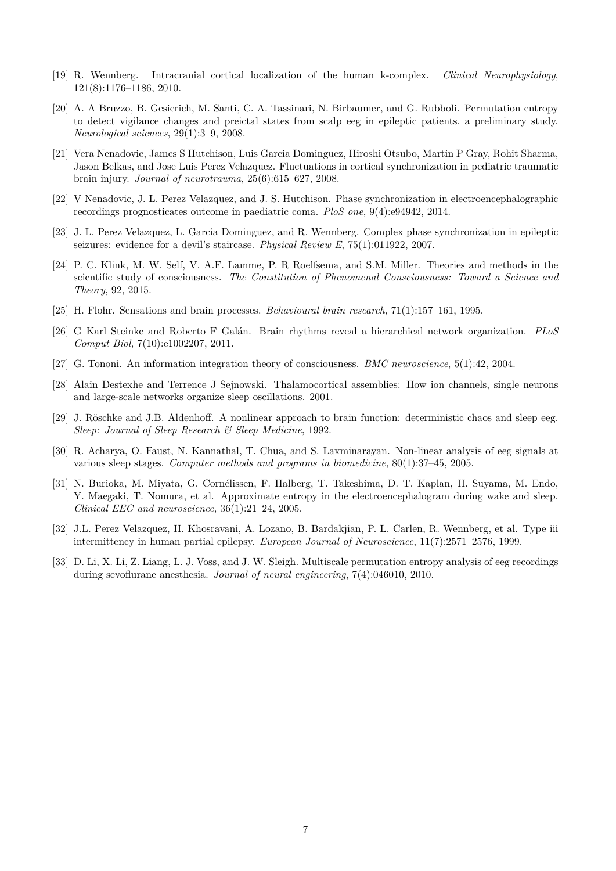- <span id="page-6-0"></span>[19] R. Wennberg. Intracranial cortical localization of the human k-complex. *Clinical Neurophysiology*, 121(8):1176–1186, 2010.
- <span id="page-6-1"></span>[20] A. A Bruzzo, B. Gesierich, M. Santi, C. A. Tassinari, N. Birbaumer, and G. Rubboli. Permutation entropy to detect vigilance changes and preictal states from scalp eeg in epileptic patients. a preliminary study. *Neurological sciences*, 29(1):3–9, 2008.
- <span id="page-6-2"></span>[21] Vera Nenadovic, James S Hutchison, Luis Garcia Dominguez, Hiroshi Otsubo, Martin P Gray, Rohit Sharma, Jason Belkas, and Jose Luis Perez Velazquez. Fluctuations in cortical synchronization in pediatric traumatic brain injury. *Journal of neurotrauma*, 25(6):615–627, 2008.
- <span id="page-6-3"></span>[22] V Nenadovic, J. L. Perez Velazquez, and J. S. Hutchison. Phase synchronization in electroencephalographic recordings prognosticates outcome in paediatric coma. *PloS one*, 9(4):e94942, 2014.
- <span id="page-6-4"></span>[23] J. L. Perez Velazquez, L. Garcia Dominguez, and R. Wennberg. Complex phase synchronization in epileptic seizures: evidence for a devil's staircase. *Physical Review E*, 75(1):011922, 2007.
- <span id="page-6-5"></span>[24] P. C. Klink, M. W. Self, V. A.F. Lamme, P. R Roelfsema, and S.M. Miller. Theories and methods in the scientific study of consciousness. *The Constitution of Phenomenal Consciousness: Toward a Science and Theory*, 92, 2015.
- <span id="page-6-6"></span>[25] H. Flohr. Sensations and brain processes. *Behavioural brain research*, 71(1):157–161, 1995.
- <span id="page-6-7"></span>[26] G Karl Steinke and Roberto F Galán. Brain rhythms reveal a hierarchical network organization. *PLoS Comput Biol*, 7(10):e1002207, 2011.
- <span id="page-6-8"></span>[27] G. Tononi. An information integration theory of consciousness. *BMC neuroscience*, 5(1):42, 2004.
- <span id="page-6-9"></span>[28] Alain Destexhe and Terrence J Sejnowski. Thalamocortical assemblies: How ion channels, single neurons and large-scale networks organize sleep oscillations. 2001.
- <span id="page-6-10"></span>[29] J. Röschke and J.B. Aldenhoff. A nonlinear approach to brain function: deterministic chaos and sleep eeg. *Sleep: Journal of Sleep Research & Sleep Medicine*, 1992.
- <span id="page-6-11"></span>[30] R. Acharya, O. Faust, N. Kannathal, T. Chua, and S. Laxminarayan. Non-linear analysis of eeg signals at various sleep stages. *Computer methods and programs in biomedicine*, 80(1):37–45, 2005.
- <span id="page-6-12"></span>[31] N. Burioka, M. Miyata, G. Cornélissen, F. Halberg, T. Takeshima, D. T. Kaplan, H. Suyama, M. Endo, Y. Maegaki, T. Nomura, et al. Approximate entropy in the electroencephalogram during wake and sleep. *Clinical EEG and neuroscience*, 36(1):21–24, 2005.
- <span id="page-6-13"></span>[32] J.L. Perez Velazquez, H. Khosravani, A. Lozano, B. Bardakjian, P. L. Carlen, R. Wennberg, et al. Type iii intermittency in human partial epilepsy. *European Journal of Neuroscience*, 11(7):2571–2576, 1999.
- <span id="page-6-14"></span>[33] D. Li, X. Li, Z. Liang, L. J. Voss, and J. W. Sleigh. Multiscale permutation entropy analysis of eeg recordings during sevoflurane anesthesia. *Journal of neural engineering*, 7(4):046010, 2010.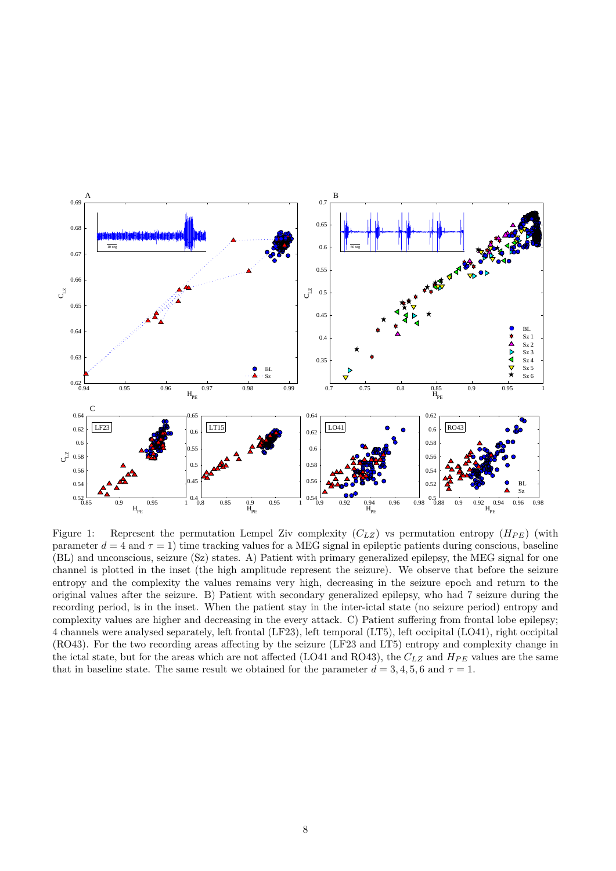

<span id="page-7-0"></span>Figure 1: Represent the permutation Lempel Ziv complexity  $(C_{LZ})$  vs permutation entropy  $(H_{PE})$  (with parameter  $d = 4$  and  $\tau = 1$ ) time tracking values for a MEG signal in epileptic patients during conscious, baseline (BL) and unconscious, seizure (Sz) states. A) Patient with primary generalized epilepsy, the MEG signal for one channel is plotted in the inset (the high amplitude represent the seizure). We observe that before the seizure entropy and the complexity the values remains very high, decreasing in the seizure epoch and return to the original values after the seizure. B) Patient with secondary generalized epilepsy, who had 7 seizure during the recording period, is in the inset. When the patient stay in the inter-ictal state (no seizure period) entropy and complexity values are higher and decreasing in the every attack. C) Patient suffering from frontal lobe epilepsy; 4 channels were analysed separately, left frontal (LF23), left temporal (LT5), left occipital (LO41), right occipital (RO43). For the two recording areas affecting by the seizure (LF23 and LT5) entropy and complexity change in the ictal state, but for the areas which are not affected (LO41 and RO43), the  $C_{LZ}$  and  $H_{PE}$  values are the same that in baseline state. The same result we obtained for the parameter  $d = 3, 4, 5, 6$  and  $\tau = 1$ .